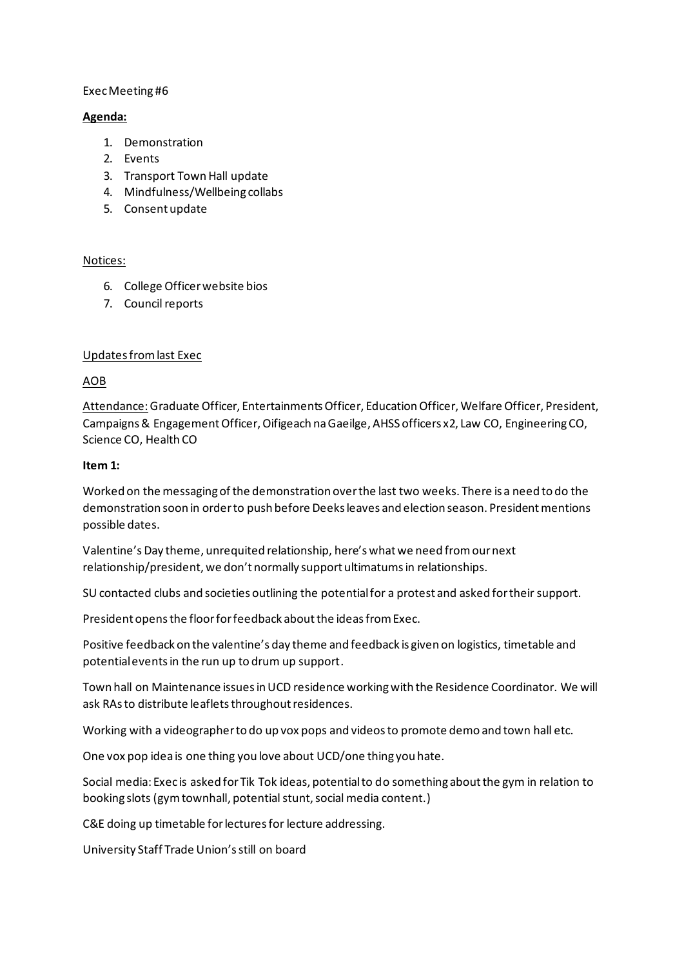#### Exec Meeting #6

#### **Agenda:**

- 1. Demonstration
- 2. Events
- 3. Transport Town Hall update
- 4. Mindfulness/Wellbeing collabs
- 5. Consent update

### Notices:

- 6. College Officer website bios
- 7. Council reports

### Updates from last Exec

# AOB

Attendance: Graduate Officer, Entertainments Officer, Education Officer, Welfare Officer, President, Campaigns & Engagement Officer, Oifigeach na Gaeilge, AHSS officers x2, Law CO, Engineering CO, Science CO, Health CO

#### **Item 1:**

Worked on the messaging of the demonstration over the last two weeks. There is a need to do the demonstration soon in order to push before Deeks leaves and election season. President mentions possible dates.

Valentine's Day theme, unrequited relationship, here's what we need from our next relationship/president, we don't normally support ultimatums in relationships.

SU contacted clubs and societies outlining the potential for a protest and asked for their support.

President opens the floor for feedback about the ideas from Exec.

Positive feedback on the valentine's day theme and feedback is given on logistics, timetable and potential events in the run up to drum up support.

Town hall on Maintenance issues in UCD residence working with the Residence Coordinator. We will ask RAs to distribute leaflets throughout residences.

Working with a videographer to do up vox pops and videos to promote demo and town hall etc.

One vox pop idea is one thing you love about UCD/one thing you hate.

Social media: Exec is asked for Tik Tok ideas, potential to do something about the gym in relation to booking slots (gym townhall, potential stunt, social media content.)

C&E doing up timetable for lectures for lecture addressing.

University Staff Trade Union's still on board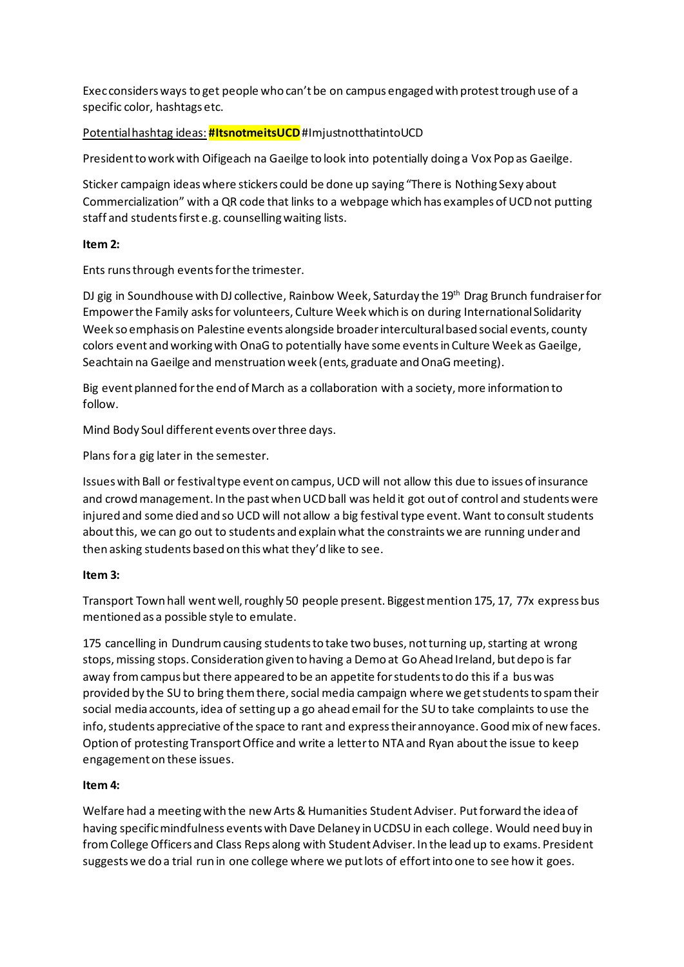Exec considers ways to get people who can't be on campus engaged with protest trough use of a specific color, hashtags etc.

# Potential hashtag ideas: **#ItsnotmeitsUCD**#ImjustnotthatintoUCD

President to work with Oifigeach na Gaeilge to look into potentially doing a Vox Pop as Gaeilge.

Sticker campaign ideas where stickers could be done up saying "There is Nothing Sexy about Commercialization" with a QR code that links to a webpage which has examples of UCD not putting staff and students first e.g. counselling waiting lists.

### **Item 2:**

Ents runs through events for the trimester.

DJ gig in Soundhouse with DJ collective, Rainbow Week, Saturday the 19<sup>th</sup> Drag Brunch fundraiser for Empower the Family asks for volunteers, Culture Week which is on during International Solidarity Week so emphasis on Palestine events alongside broader intercultural based social events, county colors event and working with OnaG to potentially have some events in Culture Week as Gaeilge, Seachtain na Gaeilge and menstruation week (ents, graduate and OnaG meeting).

Big event planned for the end of March as a collaboration with a society, more information to follow.

Mind Body Soul different events over three days.

Plans for a gig later in the semester.

Issues with Ball or festival type event on campus, UCD will not allow this due to issues of insurance and crowd management. In the past when UCD ball was held it got out of control and students were injured and some died and so UCD will not allow a big festival type event. Want to consult students about this, we can go out to students and explain what the constraints we are running under and then asking students based on this what they'd like to see.

### **Item 3:**

Transport Town hall went well, roughly 50 people present. Biggest mention 175, 17, 77x express bus mentioned as a possible style to emulate.

175 cancelling in Dundrum causing students to take two buses, not turning up, starting at wrong stops, missing stops. Consideration given to having a Demo at Go Ahead Ireland, but depo is far away from campus but there appeared to be an appetite for students to do this if a bus was provided by the SU to bring them there, social media campaign where we get students to spam their social media accounts, idea of setting up a go ahead email for the SU to take complaints to use the info, students appreciative of the space to rant and express their annoyance. Good mix of new faces. Option of protesting Transport Office and write a letter to NTA and Ryan about the issue to keep engagement on these issues.

# **Item 4:**

Welfare had a meeting with the new Arts & Humanities Student Adviser. Put forward the idea of having specific mindfulness events with Dave Delaney in UCDSU in each college. Would need buy in from College Officers and Class Reps along with Student Adviser. In the lead up to exams. President suggests we do a trial run in one college where we put lots of effort into one to see how it goes.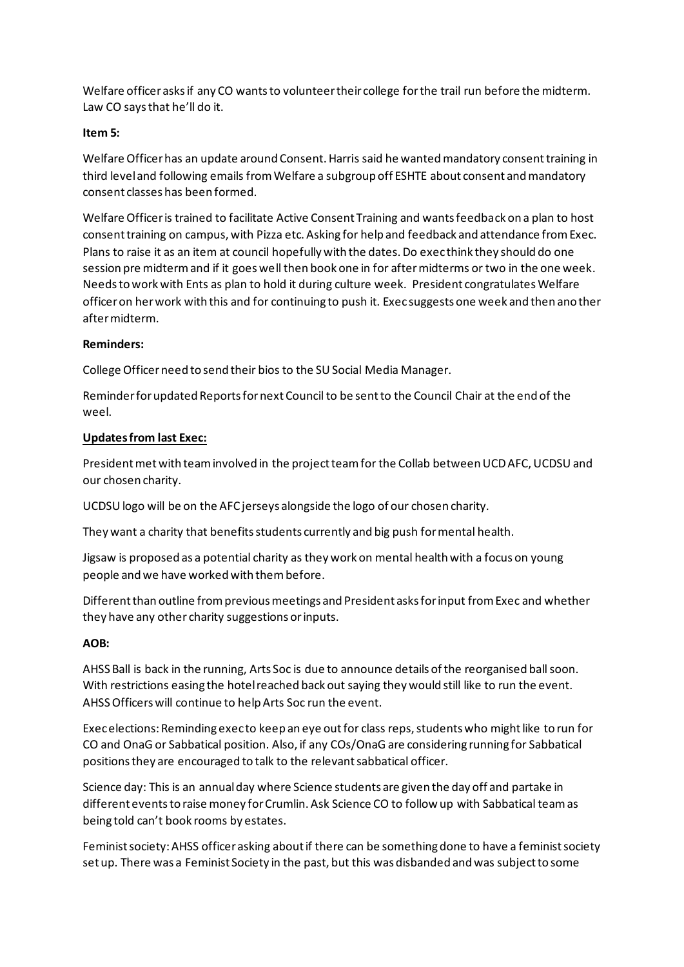Welfare officer asks if any CO wants to volunteer their college for the trail run before the midterm. Law CO says that he'll do it.

### **Item 5:**

Welfare Officer has an update around Consent. Harris said he wanted mandatory consent training in third level and following emails from Welfare a subgroup off ESHTE about consent and mandatory consent classes has been formed.

Welfare Officer is trained to facilitate Active Consent Training and wants feedback on a plan to host consent training on campus, with Pizza etc. Asking for help and feedback and attendance from Exec. Plans to raise it as an item at council hopefully with the dates. Do exec think they should do one session pre midterm and if it goes well then book one in for after midterms or two in the one week. Needs to work with Ents as plan to hold it during culture week. President congratulates Welfare officer on her work with this and for continuing to push it. Exec suggests one week and then another after midterm.

#### **Reminders:**

College Officer need to send their bios to the SU Social Media Manager.

Reminder for updated Reports for next Council to be sent to the Council Chair at the end of the weel.

#### **Updates from last Exec:**

President met with team involved in the project team for the Collab between UCD AFC, UCDSU and our chosen charity.

UCDSU logo will be on the AFC jerseys alongside the logo of our chosen charity.

They want a charity that benefits students currently and big push for mental health.

Jigsaw is proposed as a potential charity as they work on mental health with a focus on young people and we have worked with them before.

Different than outline from previous meetings and President asks for input from Exec and whether they have any other charity suggestions or inputs.

### **AOB:**

AHSS Ball is back in the running, Arts Soc is due to announce details of the reorganised ball soon. With restrictions easing the hotel reached back out saying they would still like to run the event. AHSS Officers will continue to help Arts Soc run the event.

Exec elections: Reminding exec to keep an eye out for class reps, students who might like to run for CO and OnaG or Sabbatical position. Also, if any COs/OnaG are considering running for Sabbatical positions they are encouraged to talk to the relevant sabbatical officer.

Science day: This is an annual day where Science students are given the day off and partake in different events to raise money for Crumlin. Ask Science CO to follow up with Sabbatical team as being told can't book rooms by estates.

Feminist society: AHSS officer asking about if there can be something done to have a feminist society set up. There was a Feminist Society in the past, but this was disbanded and was subject to some